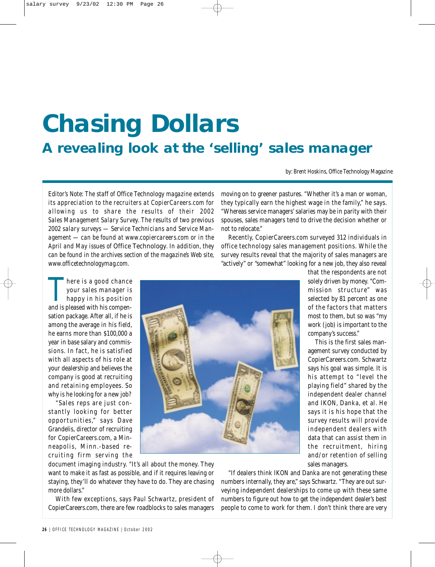# **Chasing Dollars**

# **A revealing look at the 'selling' sales manager**

by: Brent Hoskins, Office Technology Magazine

*Editor's Note: The staff of* Office Technology *magazine extends its appreciation to the recruiters at CopierCareers.com for allowing us to share the results of their 2002 Sales Management Salary Survey. The results of two previous 2002 salary surveys — Service Technicians and Service Management — can be found at www.copiercareers.com or in the April and May issues of* Office Technology*. In addition, they can be found in the archives section of the magazine's Web site, www.officetechnologymag.com.*

moving on to greener pastures. "Whether it's a man or woman, they typically earn the highest wage in the family," he says. "Whereas service managers' salaries may be in parity with their spouses, sales managers tend to drive the decision whether or not to relocate."

Recently, CopierCareers.com surveyed 312 individuals in office technology sales management positions. While the survey results reveal that the majority of sales managers are "actively" or "somewhat" looking for a new job, they also reveal

There is a good chance<br>your sales manager is<br>happy in his position<br>and is pleased with his compenyour sales manager is happy in his position and is pleased with his compensation package. After all, if he is among the average in his field, he earns more than \$100,000 a year in base salary and commissions. In fact, he is satisfied with all aspects of his role at your dealership and believes the company is good at recruiting and retaining employees. So why is he looking for a new job?

"Sales reps are just constantly looking for better opp or tunities," says Dave Grandelis, director of recruiting for CopierCareers.com, a Minneapolis, Minn.-based recruiting firm serving the



document imaging industry. "It's all about the money. They want to make it as fast as possible, and if it requires leaving or staying, they'll do whatever they have to do. They are chasing more dollars."

With few exceptions, says Paul Schwartz, president of CopierCareers.com, there are few roadblocks to sales managers

that the respondents are not solely driven by money. "Commission structure" was selected by 81 percent as one of the factors that matters most to them, but so was "my work (job) is important to the company's success."

This is the first sales management survey conducted by CopierCareers.com. Schwartz says his goal was simple. It is his attempt to "level the playing field" shared by the independent dealer channel and IKON, Danka, et al. He says it is his hope that the survey results will provide independent dealers with data that can assist them in the recruitment, hiring and/or retention of selling sales managers.

"If dealers think IKON and Danka are not generating these numbers internally, they are," says Schwartz. "They are out surveying independent dealerships to come up with these same numbers to figure out how to get the independent dealer's best people to come to work for them. I don't think there are very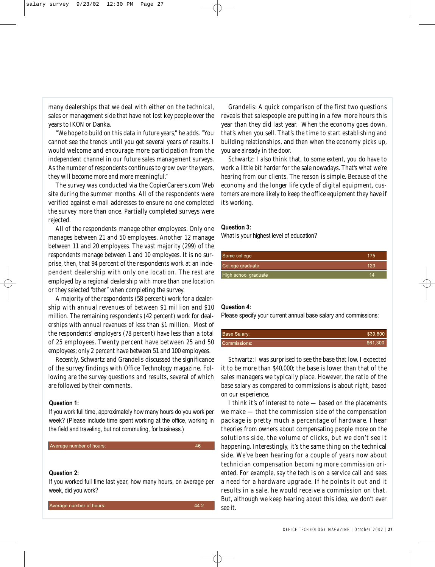many dealerships that we deal with either on the technical, sales or management side that have not lost key people over the years to IKON or Danka.

"We hope to build on this data in future years," he adds. "You cannot see the trends until you get several years of results. I would welcome and encourage more participation from the independent channel in our future sales management surveys. As the number of respondents continues to grow over the years, they will become more and more meaningful."

The survey was conducted via the CopierCareers.com Web site during the summer months. All of the respondents were verified against e-mail addresses to ensure no one completed the survey more than once. Partially completed surveys were rejected.

All of the respondents manage other employees. Only one manages between 21 and 50 employees. Another 12 manage between 11 and 20 employees. The vast majority (299) of the respondents manage between 1 and 10 employees. It is no surprise, then, that 94 percent of the respondents work at an independent dealership with only one location. The rest are employed by a regional dealership with more than one location or they selected "other" when completing the survey.

A majority of the respondents (58 percent) work for a dealership with annual revenues of between \$1 million and \$10 million. The remaining respondents (42 percent) work for dealerships with annual revenues of less than \$1 million. Most of the respondents' employers (78 percent) have less than a total of 25 employees. Twenty percent have between 25 and 50 employees; only 2 percent have between 51 and 100 employees.

Recently, Schwartz and Grandelis discussed the significance of the survey findings with *Office Technology* magazine. Following are the survey questions and results, several of which are followed by their comments.

#### **Question 1:**

If you work full time, approximately how many hours do you work per week? (Please include time spent working at the office, working in the field and traveling, but not commuting, for business.)

Average number of hours:

46

# **Question 2:**

If you worked full time last year, how many hours, on average per week, did you work?

Average number of hours:

44.2

Grandelis: A quick comparison of the first two questions reveals that salespeople are putting in a few more hours this year than they did last year. When the economy goes down, that's when you sell. That's the time to start establishing and building relationships, and then when the economy picks up, you are already in the door.

Schwartz: I also think that, to some extent, you do have to work a little bit harder for the sale nowadays. That's what we're hearing from our clients. The reason is simple. Because of the economy and the longer life cycle of digital equipment, customers are more likely to keep the office equipment they have if it's working.

#### **Question 3:**

What is your highest level of education?

| Some college          | 175 |
|-----------------------|-----|
| College graduate      | 123 |
| High school graduate, | 14  |

#### **Question 4:**

Please specify your current annual base salary and commissions:

| Base Salary: | \$39,800 |
|--------------|----------|
| Commissions: | \$61,300 |

Schwartz: I was surprised to see the base that low. I expected it to be more than \$40,000; the base is lower than that of the sales managers we typically place. However, the ratio of the base salary as compared to commissions is about right, based on our experience.

I think it's of interest to note — based on the placements we make — that the commission side of the compensation package is pretty much a percentage of hardware. I hear theories from owners about compensating people more on the solutions side, the volume of clicks, but we don't see it happening. Interestingly, it's the same thing on the technical side. We've been hearing for a couple of years now about technician compensation becoming more commission oriented. For example, say the tech is on a service call and sees a need for a hardware upgrade. If he points it out and it results in a sale, he would receive a commission on that. But, although we keep hearing about this idea, we don't ever see it.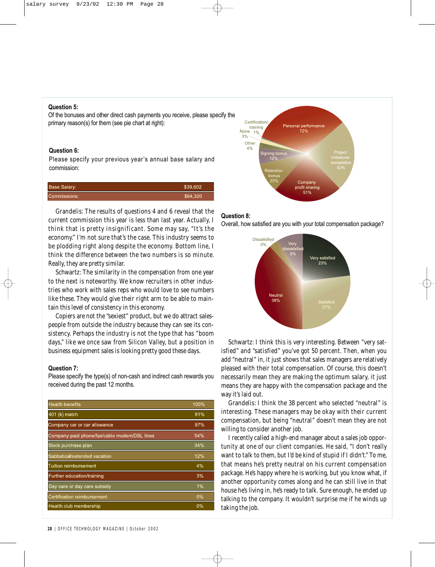#### **Question 5:**

Of the bonuses and other direct cash payments you receive, please specify the primary reason(s) for them (see pie chart at right):

## **Question 6:**

Please specify your previous year's annual base salary and commission:

| <b>Base Salary:</b> | \$39,602 |
|---------------------|----------|
| Commissions:        | \$64,320 |

Grandelis: The results of questions 4 and 6 reveal that the current commission this year is less than last year. Actually, I think that is pretty insignificant. Some may say, "It's the economy." I'm not sure that's the case. This industry seems to be plodding right along despite the economy. Bottom line, I think the difference between the two numbers is so minute. Really, they are pretty similar.

Schwartz: The similarity in the compensation from one year to the next is noteworthy. We know recruiters in other industries who work with sales reps who would love to see numbers like these. They would give their right arm to be able to maintain this level of consistency in this economy.

Copiers are not the "sexiest" product, but we do attract salespeople from outside the industry because they can see its consistency. Perhaps the industry is not the type that has "boom days," like we once saw from Silicon Valley, but a position in business equipment sales is looking pretty good these days.

#### **Question 7:**

Please specify the type(s) of non-cash and indirect cash rewards you received during the past 12 months.

| <b>Health benefits</b>                       | 100%  |
|----------------------------------------------|-------|
| 401 (k) match                                | 81%   |
| Company car or car allowance                 | 97%   |
| Company-paid phone/fax/cable modem/DSL lines | 54%   |
| Stock purchase plan                          | 34%   |
| Sabbatical/extended vacation                 | 12%   |
| <b>Tuition reimbursement</b>                 | 4%    |
| Further education/training                   | 3%    |
| Day care or day care subsidy                 | 1%    |
| Certification reimbursement                  | $0\%$ |
| Health club membership                       | 0%    |



#### **Question 8:**

Overall, how satisfied are you with your total compensation package?



Schwartz: I think this is very interesting. Between "very satisfied" and "satisfied" you've got 50 percent. Then, when you add "neutral" in, it just shows that sales managers are relatively pleased with their total compensation. Of course, this doesn't necessarily mean they are making the optimum salary, it just means they are happy with the compensation package and the way it's laid out.

Grandelis: I think the 38 percent who selected "neutral" is interesting. These managers may be okay with their current compensation, but being "neutral" doesn't mean they are not willing to consider another job.

I recently called a high-end manager about a sales job opportunity at one of our client companies. He said, "I don't really want to talk to them, but I'd be kind of stupid if I didn't." To me, that means he's pretty neutral on his current compensation package. He's happy where he is working, but you know what, if another opportunity comes along and he can still live in that house he's living in, he's ready to talk. Sure enough, he ended up talking to the company. It wouldn't surprise me if he winds up taking the job.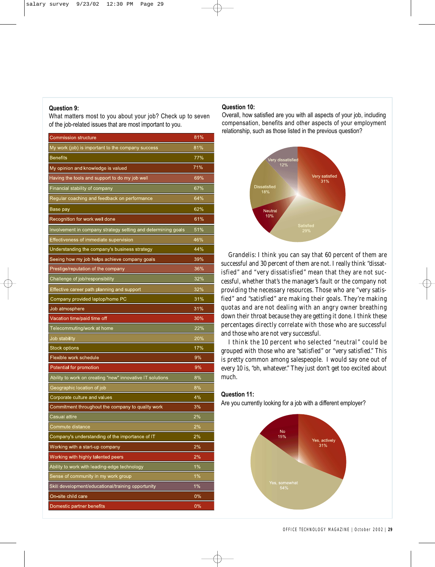#### **Question 9:**

What matters most to you about your job? Check up to seven of the job-related issues that are most important to you.

| <b>Commission structure</b>                                   | 81%   |
|---------------------------------------------------------------|-------|
| My work (job) is important to the company success             | 81%   |
| <b>Benefits</b>                                               | 77%   |
| My opinion and knowledge is valued                            | 71%   |
| Having the tools and support to do my job well                | 69%   |
| Financial stability of company                                | 67%   |
| Regular coaching and feedback on performance                  | 64%   |
| Base pay                                                      | 62%   |
| Recognition for work well done                                | 61%   |
| Involvement in company strategy setting and determining goals | 51%   |
| Effectiveness of immediate supervision                        | 46%   |
| Understanding the company's business strategy                 | 44%   |
| Seeing how my job helps achieve company goals                 | 39%   |
| Prestige/reputation of the company                            | 36%   |
| Challenge of job/responsibility                               | 32%   |
| Effective career path planning and support                    | 32%   |
| Company provided laptop/home PC                               | 31%   |
| Job atmosphere                                                | 31%   |
| Vacation time/paid time off                                   | 30%   |
| Telecommuting/work at home                                    | 22%   |
| Job stability                                                 | 20%   |
| <b>Stock options</b>                                          | 17%   |
| Flexible work schedule                                        | 9%    |
| Potential for promotion                                       | 9%    |
| Ability to work on creating "new" innovative IT solutions     | 8%    |
| Geographic location of job                                    | 8%    |
| Corporate culture and values                                  | 4%    |
| Commitment throughout the company to quality work             | 3%    |
| Casual attire                                                 | 2%    |
| Commute distance                                              | 2%    |
| Company's understanding of the importance of IT               | 2%    |
| Working with a start-up company                               | 2%    |
| Working with highly talented peers                            | 2%    |
| Ability to work with leading-edge technology                  | 1%    |
| Sense of community in my work group                           | 1%    |
| Skill development/educational/training opportunity            | $1\%$ |
| On-site child care                                            | 0%    |
| Domestic partner benefits                                     | 0%    |

#### **Question 10:**

Overall, how satisfied are you with all aspects of your job, including compensation, benefits and other aspects of your employment relationship, such as those listed in the previous question?



Grandelis: I think you can say that 60 percent of them are successful and 30 percent of them are not. I really think "dissatisfied" and "very dissatisfied" mean that they are not successful, whether that's the manager's fault or the company not providing the necessary resources. Those who are "very satisfied" and "satisfied" are making their goals. They're making quotas and are not dealing with an angry owner breathing down their throat because they are getting it done. I think these percentages directly correlate with those who are successful and those who are not very successful.

I think the 10 percent who selected "neutral" could be grouped with those who are "satisfied" or "very satisfied." This is pretty common among salespeople. I would say one out of every 10 is, "oh, whatever." They just don't get too excited about much.

### **Question 11:**

Are you currently looking for a job with a different employer?